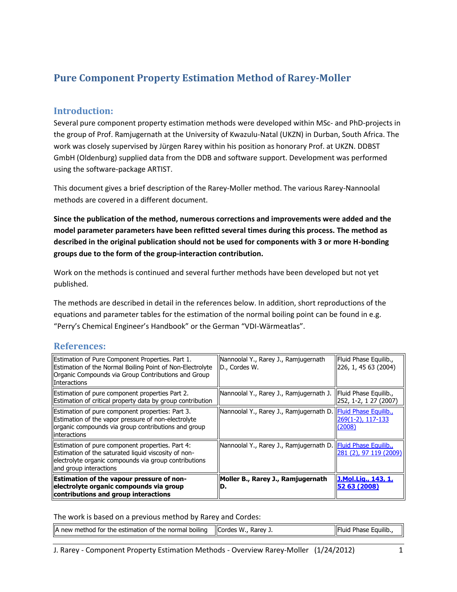# **Pure Component Property Estimation Method of Rarey-Moller**

#### **Introduction:**

Several pure component property estimation methods were developed within MSc- and PhD-projects in the group of Prof. Ramjugernath at the University of Kwazulu-Natal (UKZN) in Durban, South Africa. The work was closely supervised by Jürgen Rarey within his position as honorary Prof. at UKZN. DDBST GmbH (Oldenburg) supplied data from the DDB and software support. Development was performed using the software-package ARTIST.

This document gives a brief description of the Rarey-Moller method. The various Rarey-Nannoolal methods are covered in a different document.

**Since the publication of the method, numerous corrections and improvements were added and the model parameter parameters have been refitted several times during this process. The method as described in the original publication should not be used for components with 3 or more H-bonding groups due to the form of the group-interaction contribution.**

Work on the methods is continued and several further methods have been developed but not yet published.

The methods are described in detail in the references below. In addition, short reproductions of the equations and parameter tables for the estimation of the normal boiling point can be found in e.g. "Perry's Chemical Engineer's Handbook" or the German "VDI-Wärmeatlas".

### **References:**

| Estimation of Pure Component Properties. Part 1.<br>Estimation of the Normal Boiling Point of Non-Electrolyte<br>Organic Compounds via Group Contributions and Group<br><b>Interactions</b>  | Nannoolal Y., Rarey J., Ramjugernath<br>D., Cordes W.       | Fluid Phase Equilib.,<br>226, 1, 45 63 (2004)  |
|----------------------------------------------------------------------------------------------------------------------------------------------------------------------------------------------|-------------------------------------------------------------|------------------------------------------------|
| Estimation of pure component properties Part 2.<br>Estimation of critical property data by group contribution                                                                                | Nannoolal Y., Rarey J., Ramjugernath J.                     | Fluid Phase Equilib.,<br>252, 1-2, 1 27 (2007) |
| Estimation of pure component properties: Part 3.<br>Estimation of the vapor pressure of non-electrolyte<br>organic compounds via group contributions and group<br>llinteractions             | Nannoolal Y., Rarey J., Ramjugernath D. Fluid Phase Equilib | 269(1-2), 117-133<br>(2008)                    |
| Estimation of pure component properties. Part 4:<br>Estimation of the saturated liquid viscosity of non-<br>electrolyte organic compounds via group contributions<br>land group interactions | Nannoolal Y., Rarey J., Ramjugernath D. Fluid Phase Equilib | 281 (2), 97 119 (2009)                         |
| Estimation of the vapour pressure of non-<br>electrolyte organic compounds via group<br>contributions and group interactions                                                                 | Moller B., Rarey J., Ramjugernath<br>D.                     | J.Mol.Lig., 143, 1,<br>52 63 (2008)            |

The work is based on a previous method by Rarey and Cordes:

| A new<br><br>method for the estimation (<br>of the normal boiling ו | <b>Cordes</b><br>W.<br>Rarev | $-0.000$<br>lifi<br>-auilib<br>. Phase<br>пик |
|---------------------------------------------------------------------|------------------------------|-----------------------------------------------|
|---------------------------------------------------------------------|------------------------------|-----------------------------------------------|

J. Rarey - Component Property Estimation Methods - Overview Rarey-Moller (1/24/2012) 1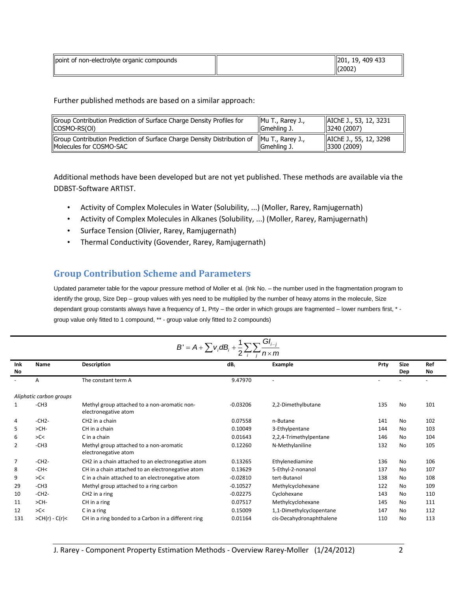| point of non-electrolyte organic compounds | 409 433<br>201,<br>-19.<br>(2002) |
|--------------------------------------------|-----------------------------------|
|--------------------------------------------|-----------------------------------|

Further published methods are based on a similar approach:

| Group Contribution Prediction of Surface Charge Density Profiles for                                                   | Mu T., Rarey J., | AIChE J., 53, 12, 3231                 |
|------------------------------------------------------------------------------------------------------------------------|------------------|----------------------------------------|
| (COSMO-RS(OI)                                                                                                          | Gmehling J.      | 3240(2007)                             |
| Group Contribution Prediction of Surface Charge Density Distribution of   Mu T., Rarey J.,<br>IMolecules for COSMO-SAC | IGmehling J.     | AIChE J., 55, 12, 3298<br>13300 (2009) |

Additional methods have been developed but are not yet published. These methods are available via the DDBST-Software ARTIST.

- Activity of Complex Molecules in Water (Solubility, ...) (Moller, Rarey, Ramjugernath)
- Activity of Complex Molecules in Alkanes (Solubility, ...) (Moller, Rarey, Ramjugernath)
- Surface Tension (Olivier, Rarey, Ramjugernath)
- Thermal Conductivity (Govender, Rarey, Ramjugernath)

## **Group Contribution Scheme and Parameters**

Updated parameter table for the vapour pressure method of Moller et al. (Ink No. – the number used in the fragmentation program to identify the group, Size Dep – group values with yes need to be multiplied by the number of heavy atoms in the molecule, Size dependant group constants always have a frequency of 1, Prty – the order in which groups are fragmented – lower numbers first, \* group value only fitted to 1 compound, \*\* - group value only fitted to 2 compounds)

| $B' = A + \sum_{i} V_i dB_i + \frac{1}{2} \sum_{i} V_i$ |                         |                                                                      |            |                          |      |                    |           |
|---------------------------------------------------------|-------------------------|----------------------------------------------------------------------|------------|--------------------------|------|--------------------|-----------|
| Ink<br>No                                               | Name                    | <b>Description</b>                                                   | dB:        | Example                  | Prty | <b>Size</b><br>Dep | Ref<br>No |
|                                                         | A                       | The constant term A                                                  | 9.47970    | $\sim$                   |      |                    | $\sim$    |
|                                                         | Aliphatic carbon groups |                                                                      |            |                          |      |                    |           |
| 1                                                       | $-CH3$                  | Methyl group attached to a non-aromatic non-<br>electronegative atom | $-0.03206$ | 2,2-Dimethylbutane       | 135  | <b>No</b>          | 101       |
| 4                                                       | $-CH2-$                 | CH <sub>2</sub> in a chain                                           | 0.07558    | n-Butane                 | 141  | No                 | 102       |
| 5                                                       | $>CH-$                  | CH in a chain                                                        | 0.10049    | 3-Ethylpentane           | 144  | No                 | 103       |
| 6                                                       | >C<                     | C in a chain                                                         | 0.01643    | 2,2,4-Trimethylpentane   | 146  | No                 | 104       |
| 2                                                       | $-CH3$                  | Methyl group attached to a non-aromatic<br>electronegative atom      | 0.12260    | N-Methylaniline          | 132  | <b>No</b>          | 105       |
| $\overline{7}$                                          | $-CH2-$                 | CH2 in a chain attached to an electronegative atom                   | 0.13265    | Ethylenediamine          | 136  | No                 | 106       |
| 8                                                       | $-CH<$                  | CH in a chain attached to an electronegative atom                    | 0.13629    | 5-Ethyl-2-nonanol        | 137  | No                 | 107       |
| 9                                                       | >C<                     | C in a chain attached to an electronegative atom                     | $-0.02810$ | tert-Butanol             | 138  | No                 | 108       |
| 29                                                      | $-CH3$                  | Methyl group attached to a ring carbon                               | $-0.10527$ | Methylcyclohexane        | 122  | No                 | 109       |
| 10                                                      | $-CH2-$                 | CH <sub>2</sub> in a ring                                            | $-0.02275$ | Cyclohexane              | 143  | <b>No</b>          | 110       |
| 11                                                      | $>CH-$                  | CH in a ring                                                         | 0.07517    | Methylcyclohexane        | 145  | No                 | 111       |
| 12                                                      | SC<                     | C in a ring                                                          | 0.15009    | 1,1-Dimethylcyclopentane | 147  | No                 | 112       |
| 131                                                     | $>CH(r) - C(r) <$       | CH in a ring bonded to a Carbon in a different ring                  | 0.01164    | cis-Decahydronaphthalene | 110  | <b>No</b>          | 113       |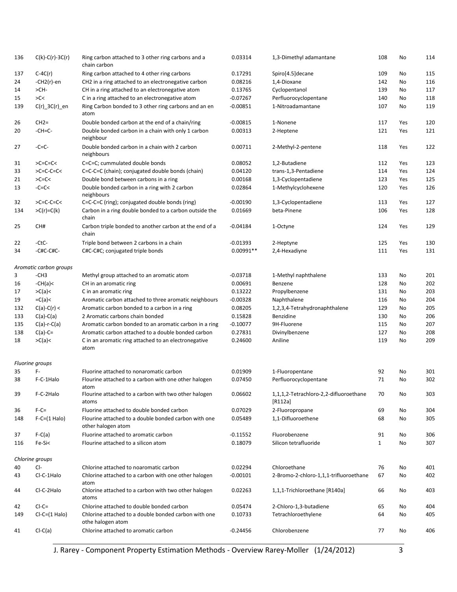| 136 | $C(k)-C(r)-3C(r)$                | 0.03314<br>Ring carbon attached to 3 other ring carbons and a<br>1,3-Dimethyl adamantane<br>chain carbon |             |                                                     | 108          | No        | 114 |
|-----|----------------------------------|----------------------------------------------------------------------------------------------------------|-------------|-----------------------------------------------------|--------------|-----------|-----|
| 137 | $C-4C(r)$                        | Ring carbon attached to 4 other ring carbons                                                             | 0.17291     | Spiro[4.5] decane                                   | 109          | No        | 115 |
| 24  | $-CH2(r)-en$                     | CH2 in a ring attached to an electronegative carbon                                                      | 0.08216     | 1,4-Dioxane                                         | 142          | No        | 116 |
| 14  | >CH-                             | CH in a ring attached to an electronegative atom                                                         | 0.13765     | Cyclopentanol                                       | 139          | No        | 117 |
| 15  | SC<                              | C in a ring attached to an electronegative atom                                                          | $-0.07267$  | Perfluorocyclopentane                               | 140          | No        | 118 |
| 139 | $C(r)$ _3C $(r)$ _en             | Ring Carbon bonded to 3 other ring carbons and an en<br>atom                                             | $-0.00851$  | 1-Nitroadamantane                                   | 107          | No        | 119 |
| 26  | $CH2=$                           | Double bonded carbon at the end of a chain/ring                                                          | $-0.00815$  | 1-Nonene                                            | 117          | Yes       | 120 |
| 20  | $-CH=C-$                         | Double bonded carbon in a chain with only 1 carbon<br>neighbour                                          | 0.00313     | 2-Heptene                                           | 121          | Yes       | 121 |
| 27  | $-C=C$ -                         | Double bonded carbon in a chain with 2 carbon<br>neighbours                                              | 0.00711     | 2-Methyl-2-pentene                                  | 118          | Yes       | 122 |
| 31  | $>C=C=C<$                        | C=C=C; cummulated double bonds                                                                           | 0.08052     | 1,2-Butadiene                                       | 112          | Yes       | 123 |
| 33  | $>C=C-C=C<$                      | C=C-C=C (chain); conjugated double bonds (chain)                                                         | 0.04120     | trans-1,3-Pentadiene                                | 114          | Yes       | 124 |
| 21  | $SC=CC$                          | Double bond between carbons in a ring                                                                    | 0.00168     | 1,3-Cyclopentadiene                                 | 123          | Yes       | 125 |
| 13  | $-C=C<$                          | Double bonded carbon in a ring with 2 carbon<br>neighbours                                               | 0.02864     | 1-Methylcyclohexene                                 | 120          | Yes       | 126 |
| 32  | $>C=C-C=C<$                      | C=C-C=C (ring); conjugated double bonds (ring)                                                           | $-0.00190$  | 1,3-Cyclopentadiene                                 | 113          | Yes       | 127 |
| 134 | $>C(r)=C(k)$                     | Carbon in a ring double bonded to a carbon outside the<br>chain                                          | 0.01669     | beta-Pinene                                         | 106          | Yes       | 128 |
| 25  | CH#                              | Carbon triple bonded to another carbon at the end of a<br>chain                                          | $-0.04184$  | 1-Octyne                                            | 124          | Yes       | 129 |
| 22  | -CtC-                            | Triple bond between 2 carbons in a chain                                                                 | $-0.01393$  | 2-Heptyne                                           | 125          | Yes       | 130 |
| 34  | -C#C-C#C-                        | C#C-C#C; conjugated triple bonds                                                                         | $0.00991**$ | 2,4-Hexadiyne                                       | 111          | Yes       | 131 |
| 3   | Aromatic carbon groups<br>$-CH3$ | Methyl group attached to an aromatic atom                                                                | $-0.03718$  | 1-Methyl naphthalene                                | 133          | No        | 201 |
| 16  | $-CH(a)$                         | CH in an aromatic ring                                                                                   | 0.00691     | Benzene                                             | 128          | No        | 202 |
| 17  | >C(a)                            |                                                                                                          | 0.13222     | Propylbenzene                                       | 131          | No        | 203 |
|     |                                  | C in an aromatic ring                                                                                    |             |                                                     |              |           |     |
| 19  | $=C(a)<$                         | Aromatic carbon attached to three aromatic neighbours                                                    | $-0.00328$  | Naphthalene                                         | 116          | No        | 204 |
| 132 | $C(a)-C(r) <$                    | Aromatic carbon bonded to a carbon in a ring                                                             | 0.08205     | 1,2,3,4-Tetrahydronaphthalene                       | 129          | No        | 205 |
| 133 | $C(a)-C(a)$                      | 2 Aromatic carbons chain bonded                                                                          | 0.15828     | Benzidine                                           | 130          | No        | 206 |
| 135 | $C(a)-r-C(a)$                    | Aromatic carbon bonded to an aromatic carbon in a ring                                                   | $-0.10077$  | 9H-Fluorene                                         | 115          | No        | 207 |
| 138 | $C(a)-C=$                        | Aromatic carbon attached to a double bonded carbon                                                       | 0.27831     | Divinylbenzene                                      | 127          | No        | 208 |
| 18  | >C(a)                            | C in an aromatic ring attached to an electronegative<br>atom                                             | 0.24600     | Aniline                                             | 119          | No        | 209 |
|     | Fluorine groups                  |                                                                                                          |             |                                                     |              |           |     |
| 35  | F-                               | Fluorine attached to nonaromatic carbon                                                                  | 0.01909     | 1-Fluoropentane                                     | 92           | No        | 301 |
| 38  | F-C-1Halo                        | Flourine attached to a carbon with one other halogen<br>atom                                             | 0.07450     | Perfluorocyclopentane                               | 71           | <b>No</b> | 302 |
| 39  | F-C-2Halo                        | Flourine attached to a carbon with two other halogen<br>atoms                                            | 0.06602     | 1,1,1,2-Tetrachloro-2,2-difluoroethane<br>$[R112a]$ | 70           | No        | 303 |
| 36  | $F-C=$                           | Fluorine attached to double bonded carbon                                                                | 0.07029     | 2-Fluoropropane                                     | 69           | No        | 304 |
| 148 | $F-C=(1$ Halo)                   | Flourine attached to a double bonded carbon with one<br>other halogen atom                               | 0.05489     | 1,1-Difluoroethene                                  | 68           | No        | 305 |
| 37  | $F-C(a)$                         | Fluorine attached to aromatic carbon                                                                     | $-0.11552$  | Fluorobenzene                                       | 91           | No        | 306 |
| 116 | Fe-Si<                           | Flourine attached to a silicon atom                                                                      | 0.18079     | Silicon tetrafluoride                               | $\mathbf{1}$ | No        | 307 |
|     | Chlorine groups<br>CI-           | Chlorine attached to noaromatic carbon                                                                   | 0.02294     | Chloroethane                                        |              |           |     |
| 40  |                                  |                                                                                                          |             |                                                     | 76           | No        | 401 |
| 43  | Cl-C-1Halo                       | Chlorine attached to a carbon with one other halogen<br>atom                                             | $-0.00101$  | 2-Bromo-2-chloro-1,1,1-trifluoroethane              | 67           | No        | 402 |
| 44  | Cl-C-2Halo                       | Chlorine attached to a carbon with two other halogen<br>atoms                                            | 0.02263     | 1,1,1-Trichloroethane [R140a]                       | 66           | No        | 403 |
| 42  | $Cl-C=$                          | Chlorine attached to double bonded carbon                                                                | 0.05474     | 2-Chloro-1,3-butadiene                              | 65           | No        | 404 |
| 149 | $Cl-C=(1 \text{ Halo})$          | Chlorine attached to a double bonded carbon with one<br>othe halogen atom                                | 0.10733     | Tetrachloroethylene                                 | 64           | No        | 405 |
| 41  | $Cl-C(a)$                        | Chlorine attached to aromatic carbon                                                                     | $-0.24456$  | Chlorobenzene                                       | 77           | No        | 406 |

J. Rarey - Component Property Estimation Methods - Overview Rarey-Moller (1/24/2012) 3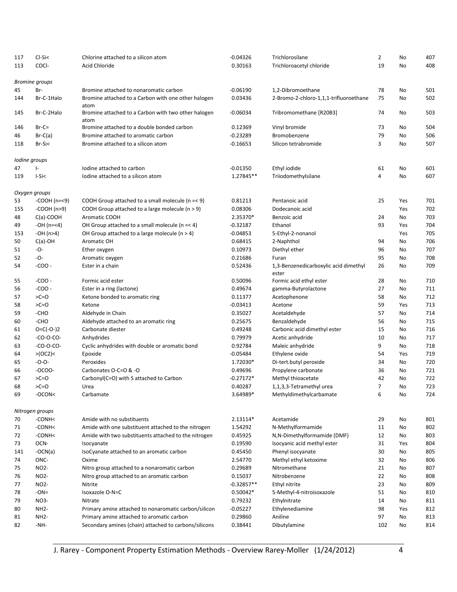| 117<br>113 | $Cl-Si5$<br>COCI- | Chlorine attached to a silicon atom<br>Acid Chloride        | $-0.04326$<br>0.30163 | Trichlorosilane<br>Trichloroacetyl chloride    | 2<br>19        | No<br>No | 407<br>408 |
|------------|-------------------|-------------------------------------------------------------|-----------------------|------------------------------------------------|----------------|----------|------------|
|            | Bromine groups    |                                                             |                       |                                                |                |          |            |
| 45         | Br-               | Bromine attached to nonaromatic carbon                      | $-0.06190$            | 1,2-Dibromoethane                              | 78             | No       | 501        |
| 144        | Br-C-1Halo        | Bromine attached to a Carbon with one other halogen<br>atom | 0.03436               | 2-Bromo-2-chloro-1,1,1-trifluoroethane         | 75             | No       | 502        |
| 145        | Br-C-2Halo        | Bromine attached to a Carbon with two other halogen<br>atom | $-0.06034$            | Tribromomethane [R20B3]                        | 74             | No       | 503        |
| 146        | $Br-C=$           | Bromine attached to a double bonded carbon                  | 0.12369               | Vinyl bromide                                  | 73             | No       | 504        |
| 46         | $Br-C(a)$         | Bromine attached to aromatic carbon                         | $-0.23289$            | Bromobenzene                                   | 79             | No       | 506        |
| 118        | $Br-Si<$          | Bromine attached to a silicon atom                          | $-0.16653$            | Silicon tetrabromide                           | 3              | No       | 507        |
|            | lodine groups     |                                                             |                       |                                                |                |          |            |
| 47         | $\vert$ -         | Iodine attached to carbon                                   | $-0.01350$            | Ethyl iodide                                   | 61             | No       | 601        |
| 119        | I-Si<             | lodine attached to a silicon atom                           | 1.27845**             | Triiodomethylsilane                            | 4              | No       | 607        |
|            | Oxygen groups     |                                                             |                       |                                                |                |          |            |
| 53         | $-COOH (n=<9)$    | COOH Group attached to a small molecule ( $n = < 9$ )       | 0.81213               | Pentanoic acid                                 | 25             | Yes      | 701        |
| 155        | $-COOH$ (n>9)     | COOH Group attached to a large molecule (n > 9)             | 0.08306               | Dodecanoic acid                                |                | Yes      | 702        |
| 48         | $C(a)$ -COOH      | Aromatic COOH                                               | 2.35370*              | Benzoic acid                                   | 24             | No       | 703        |
| 49         | $-OH (n=<4)$      | OH Group attached to a small molecule ( $n = 4$ )           | -0.32187              | Ethanol                                        | 93             | Yes      | 704        |
| 153        | $-OH (n>4)$       | OH Group attached to a large molecule ( $n > 4$ )           | $-0.04853$            | 5-Ethyl-2-nonanol                              |                | Yes      | 705        |
| 50         | $C(a)$ -OH        | Aromatic OH                                                 | 0.68415               | 2-Naphthol                                     | 94             | No       | 706        |
| 51         | -O-               | Ether oxygen                                                | 0.10973               | Diethyl ether                                  | 96             | No       | 707        |
| 52         | -O-               | Aromatic oxygen                                             | 0.21686               | Furan                                          | 95             | No       | 708        |
| 54         | $-COO -$          | Ester in a chain                                            | 0.52436               | 1,3-Benzenedicarboxylic acid dimethyl<br>ester | 26             | No       | 709        |
| 55         | $-COO -$          | Formic acid ester                                           | 0.50096               | Formic acid ethyl ester                        | 28             | No       | 710        |
| 56         | $-COO-$           | Ester in a ring (lactone)                                   | 0.49674               | gamma-Butyrolactone                            | 27             | No       | 711        |
| 57         | $>C=O$            | Ketone bonded to aromatic ring                              | 0.11377               | Acetophenone                                   | 58             | No       | 712        |
| 58         | $>C=O$            | Ketone                                                      | $-0.03413$            | Acetone                                        | 59             | Yes      | 713        |
| 59         | -CHO              | Aldehyde in Chain                                           | 0.35027               | Acetaldehyde                                   | 57             | No       | 714        |
| 60         | -CHO              | Aldehyde attached to an aromatic ring                       | 0.25675               | Benzaldehyde                                   | 56             | No       | 715        |
| 61         | $O = C(-O-2)$     | Carbonate diester                                           | 0.49248               | Carbonic acid dimethyl ester                   | 15             | No       | 716        |
| 62         | $-CO-O-CO-$       | Anhydrides                                                  | 0.79979               | Acetic anhydride                               | 10             | No       | 717        |
| 63         | $-CO-O-CO-$       | Cyclic anhydrides with double or aromatic bond              | 0.92784               | Maleic anhydride                               | 9              | No       | 718        |
| 64         | >(OC2)            | Epoxide                                                     | $-0.05484$            | Ethylene oxide                                 | 54             | Yes      | 719        |
| 65         | $-0-0-$           | Peroxides                                                   | 1.72030*              | Di-tert.butyl peroxide                         | 34             | No       | 720        |
| 66         | $-OCOO-$          | Carbonates O-C=O & -O                                       | 0.49696               | Propylene carbonate                            | 36             | No       | 721        |
| 67         | $>C=O$            | Carbonyl(C=O) with S attached to Carbon                     | $-0.27172*$           | Methyl thioacetate                             | 42             | No       | 722        |
| 68         | $>C=O$            | Urea                                                        | 0.40287               | 1,1,3,3-Tetramethyl urea                       | $\overline{7}$ | No       | 723        |
| 69         | -OCON<            | Carbamate                                                   | 3.64989*              | Methyldimethylcarbamate                        | 6              | No       | 724        |
|            | Nitrogen groups   |                                                             |                       |                                                |                |          |            |
| 70         | -CONH<            | Amide with no substituents                                  | 2.13114*              | Acetamide                                      | 29             | No       | 801        |
| 71         | -CONH<            | Amide with one substituent attached to the nitrogen         | 1.54292               | N-Methylformamide                              | 11             | No       | 802        |
| 72         | -CONH<            | Amide with two substituents attached to the nitrogen        | 0.45925               | N,N-Dimethylformamide (DMF)                    | 12             | No       | 803        |
| 73         | OCN-              | Isocyanate                                                  | 0.19590               | Isocyanic acid methyl ester                    | 31             | Yes      | 804        |
| 141        | $-OCN(a)$         | IsoCyanate attached to an aromatic carbon                   | 0.45450               | Phenyl isocyanate                              | 30             | No       | 805        |
| 74         | ONC-              | Oxime                                                       | 2.54770               | Methyl ethyl ketoxime                          | 32             | No       | 806        |
| 75         | NO <sub>2</sub> - | Nitro group attached to a nonaromatic carbon                | 0.29689               | Nitromethane                                   | 21             | No       | 807        |
| 76         | NO <sub>2</sub> - | Nitro group attached to an aromatic carbon                  | 0.15037               | Nitrobenzene                                   | 22             | No       | 808        |
| 77         | NO <sub>2</sub> - | Nitrite                                                     | $-0.32857**$          | Ethyl nitrite                                  | 23             | No       | 809        |
| 78         | $-ON =$           | Isoxazole O-N=C                                             | 0.50042*              | 5-Methyl-4-nitroisoxazole                      | 51             | No       | 810        |
| 79         | NO3-              | Nitrate                                                     | 0.79232               | Ethylnitrate                                   | 14             | No       | 811        |
| 80         | NH <sub>2</sub> - | Primary amine attached to nonaromatic carbon/silicon        | $-0.05227$            | Ethylenediamine                                | 98             | Yes      | 812        |
| 81         | NH <sub>2</sub> - | Primary amine attached to aromatic carbon                   | 0.29860               | Aniline                                        | 97             | No       | 813        |
| 82         | $-NH-$            | Secondary amines (chain) attached to carbons/silicons       | 0.38441               | Dibutylamine                                   | 102            | No       | 814        |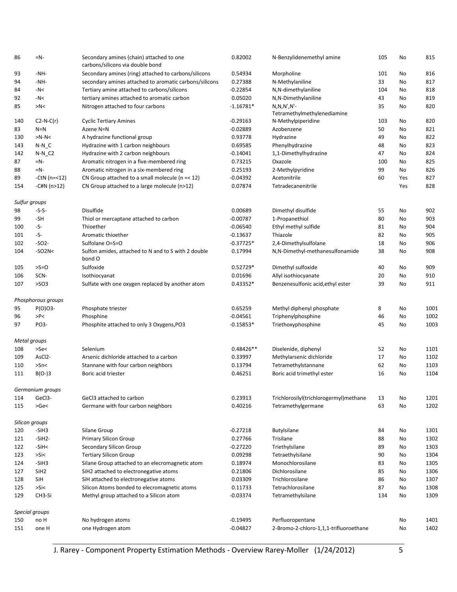| 86            | $=N-$               | Secondary amines (chain) attached to one<br>carbons/silicons via double bond | 0.82002<br>N-Benzylidenemethyl amine |                                        | 105 | No  | 815  |
|---------------|---------------------|------------------------------------------------------------------------------|--------------------------------------|----------------------------------------|-----|-----|------|
| 93            | $-NH-$              | Secondary amines (ring) attached to carbons/silicons                         | 0.54934                              | Morpholine                             | 101 | No  | 816  |
| 94            | $-NH-$              | secondary amines attached to aromatic carbons/silicons                       | 0.27388                              | N-Methylaniline                        | 33  | No  | 817  |
| 84            | $-N<$               | Tertiary amine attached to carbons/silicons                                  | $-0.22854$                           | N,N-dimethylaniline                    | 104 | No  | 818  |
| 92            | $-N<$               | tertiary amines attached to aromatic carbon                                  | 0.05020                              | N,N-Dimethylaniline                    | 43  | No  | 819  |
| 85            | >N<                 | Nitrogen attached to four carbons                                            | $-1.16781*$                          | $N, N, N', N'$ -                       | 35  | No  | 820  |
|               |                     |                                                                              |                                      | Tetramethylmethylenediamine            |     |     |      |
| 140           | $C2-N-C(r)$         | <b>Cyclic Tertiary Amines</b>                                                | $-0.29163$                           | N-Methylpiperidine                     | 103 | No  | 820  |
| 83            | $N=N$               | Azene N=N                                                                    | $-0.02889$                           | Azobenzene                             | 50  | No  | 821  |
| 130           | $>N-N<$             | A hydrazine functional group                                                 | 0.93778                              | Hydrazine                              | 49  | No  | 822  |
| 143           | $N-N_C$             | Hydrazine with 1 carbon neighbours                                           | 0.69585                              | Phenylhydrazine                        | 48  | No  | 823  |
| 142           | $N-N_C2$            | Hydrazine with 2 carbon neighbours                                           | $-0.14041$                           | 1,1-Dimethylhydrazine                  | 47  | No  | 824  |
| 87            | $=N-$               | Aromatic nitrogen in a five-membered ring                                    | 0.73215                              | Oxazole                                | 100 | No  | 825  |
| 88            | $=N-$               | Aromatic nitrogen in a six-membered ring                                     | 0.25193                              | 2-Methylpyridine                       | 99  | No  | 826  |
| 89            | -CtN (n=<12)        | CN Group attached to a small molecule ( $n = < 12$ )                         | $-0.04392$                           | Acetonitrile                           | 60  | Yes | 827  |
| 154           | -C#N (n>12)         | CN Group attached to a large molecule (n>12)                                 | 0.07874                              | Tetradecanenitrile                     |     | Yes | 828  |
|               |                     |                                                                              |                                      |                                        |     |     |      |
| Sulfur groups |                     |                                                                              |                                      |                                        |     |     |      |
| 98            | -S-S-               | Disulfide                                                                    | 0.00689                              | Dimethyl disulfide                     | 55  | No  | 902  |
| 99            | -SH                 | Thiol or mercaptane attached to carbon                                       | $-0.00787$                           | 1-Propanethiol                         | 80  | No  | 903  |
| 100           | -S-                 | Thioether                                                                    | $-0.06540$                           | Ethyl methyl sulfide                   | 81  | No  | 904  |
| 101           | -S-                 | Aromatic thioether                                                           | $-0.13637$                           | Thiazole                               | 82  | No  | 905  |
| 102           | $-SO2-$             | Sulfolane O=S=O                                                              | $-0.37725*$                          | 2,4-Dimethylsulfolane                  | 18  | No  | 906  |
| 104           | $-SO2N<$            | Sulfon amides, attached to N and to S with 2 double<br>bond O                | 0.17994                              | N,N-Dimethyl-methanesulfonamide        | 38  | No  | 908  |
| 105           | $>S=O$              | Sulfoxide                                                                    | $0.52729*$                           | Dimethyl sulfoxide                     | 40  | No  | 909  |
| 106           | SCN-                | Isothiocyanat                                                                | 0.01696                              | Allyl isothiocyanate                   | 20  | No  | 910  |
| 107           | $>$ SO3             | Sulfate with one oxygen replaced by another atom                             | $0.43352*$                           | Benzenesulfonic acid, ethyl ester      | 39  | No  | 911  |
|               | Phosphorous groups  |                                                                              |                                      |                                        |     |     |      |
| 95            | $P(O)O3 -$          | Phosphate triester                                                           | 0.65259                              | Methyl diphenyl phosphate              | 8   | No  | 1001 |
| 96            | >P<                 | Phosphine                                                                    | $-0.04561$                           | Triphenylphosphine                     | 46  | No  | 1002 |
| 97            | PO3-                | Phosphite attached to only 3 Oxygens, PO3                                    | $-0.15853*$                          | Triethoxyphosphine                     | 45  | No  | 1003 |
| Metal groups  |                     |                                                                              |                                      |                                        |     |     |      |
| 108           | $>$ Se $<$          | Selenium                                                                     | $0.48426**$                          | Diselenide, diphenyl                   | 52  | No  | 1101 |
| 109           | AsCl <sub>2</sub> - | Arsenic dichloride attached to a carbon                                      | 0.33997                              | Methylarsenic dichloride               | 17  | No  | 1102 |
|               | $>$ Sn<             | Stannane with four carbon neighbors                                          | 0.13794                              | Tetramethylstannane                    | 62  | No  | 1103 |
| 110           |                     |                                                                              |                                      |                                        |     |     |      |
| 111           | $B(O-)3$            | Boric acid triester                                                          | 0.46251                              | Boric acid trimethyl ester             | 16  | No  | 1104 |
|               | Germanium groups    |                                                                              |                                      |                                        |     |     |      |
| 114           | GeCl3-              | GeCl3 attached to carbon                                                     | 0.23913                              | Trichlorosilyl(trichlorogermyl)methane | 13  | No  | 1201 |
| 115           | >Ge<                | Germane with four carbon neighbors                                           | 0.40216                              | Tetramethylgermane                     | 63  | No  | 1202 |
|               | Silicon groups      |                                                                              |                                      |                                        |     |     |      |
| 120           | -SiH3               | Silane Group                                                                 | $-0.27218$                           | Butylsilane                            | 84  | No  | 1301 |
| 121           | $-SiH2-$            | <b>Primary Silicon Group</b>                                                 | 0.27766                              | Trisilane                              | 88  | No  | 1302 |
| 122           | -SiH<               | Secondary Silicon Group                                                      | $-0.27220$                           | Triethylsilane                         | 89  | No  | 1303 |
| 123           | >Si<                | <b>Tertiary Silicon Group</b>                                                | 0.09298                              | Tetraethylsilane                       | 90  | No  | 1304 |
| 124           | -SiH3               | Silane Group attached to an elecromagnetic atom                              | 0.18974                              | Monochlorosilane                       | 83  | No  | 1305 |
| 127           | SiH <sub>2</sub>    | SiH2 attached to electronegative atoms                                       | 0.21806                              | Dichlorosilane                         | 85  | No  | 1306 |
| 128           | SiH                 | SiH attached to electronegative atoms                                        | 0.03309                              | Trichlorosilane                        | 86  | No  | 1307 |
|               |                     |                                                                              |                                      |                                        |     |     |      |
| 125           | $>\simeq$           | Silicon Atoms bonded to elecromagnetic atoms                                 | 0.11733                              | Tetrachlorosilane                      | 87  | No  | 1308 |
| 129           | CH <sub>3</sub> -Si | Methyl group attached to a Silicon atom                                      | $-0.03374$                           | Tetramethylsilane                      | 134 | No  | 1309 |
|               | Special groups      |                                                                              |                                      |                                        |     |     |      |
| 150           | no H                | No hydrogen atoms                                                            | $-0.19495$                           | Perfluoropentane                       |     | No  | 1401 |
| 151           | one H               | one Hydrogen atom                                                            | $-0.04827$                           | 2-Bromo-2-chloro-1,1,1-trifluoroethane |     | No  | 1402 |

J. Rarey - Component Property Estimation Methods - Overview Rarey-Moller (1/24/2012) 5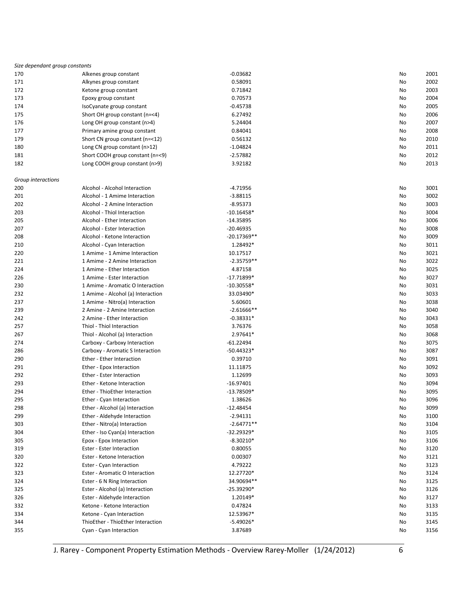| Size dependant group constants |                                                      |               |            |
|--------------------------------|------------------------------------------------------|---------------|------------|
| 170                            | Alkenes group constant                               | $-0.03682$    | No<br>2001 |
| 171                            | Alkynes group constant                               | 0.58091       | 2002<br>No |
| 172                            | Ketone group constant                                | 0.71842       | 2003<br>No |
| 173                            | Epoxy group constant                                 | 0.70573       | 2004<br>No |
| 174                            | IsoCyanate group constant                            | $-0.45738$    | 2005<br>No |
| 175                            | Short OH group constant (n=<4)                       | 6.27492       | 2006<br>No |
| 176                            | Long OH group constant (n>4)                         | 5.24404       | 2007<br>No |
| 177                            | Primary amine group constant                         | 0.84041       | 2008<br>No |
| 179                            | Short CN group constant (n=<12)                      | 0.56132       | 2010<br>No |
| 180                            | Long CN group constant (n>12)                        | $-1.04824$    | 2011<br>No |
| 181                            | Short COOH group constant (n=<9)                     | $-2.57882$    | 2012<br>No |
| 182                            | Long COOH group constant (n>9)                       | 3.92182       | 2013<br>No |
|                                |                                                      |               |            |
| Group interactions             |                                                      |               |            |
| 200                            | Alcohol - Alcohol Interaction                        | $-4.71956$    | No<br>3001 |
| 201                            | Alcohol - 1 Amime Interaction                        | $-3.88115$    | 3002<br>No |
| 202                            | Alcohol - 2 Amine Interaction                        | $-8.95373$    | 3003<br>No |
| 203                            | Alcohol - Thiol Interaction                          | $-10.16458*$  | 3004<br>No |
| 205                            | Alcohol - Ether Interaction                          | $-14.35895$   | 3006<br>No |
| 207                            | Alcohol - Ester Interaction                          | $-20.46935$   | 3008<br>No |
| 208                            | Alcohol - Ketone Interaction                         | $-20.17369**$ | 3009<br>No |
| 210                            | Alcohol - Cyan Interaction                           | 1.28492*      | 3011<br>No |
| 220                            | 1 Amime - 1 Amime Interaction                        | 10.17517      | 3021<br>No |
| 221                            | 1 Amime - 2 Amine Interaction                        | $-2.35759**$  | 3022<br>No |
| 224                            | 1 Amime - Ether Interaction                          | 4.87158       | 3025<br>No |
| 226                            | 1 Amime - Ester Interaction                          | $-17.71899*$  | 3027<br>No |
| 230                            | 1 Amime - Aromatic O Interaction                     | $-10.30558*$  | 3031<br>No |
| 232                            | 1 Amime - Alcohol (a) Interaction                    | 33.03490*     | 3033<br>No |
| 237                            | 1 Amime - Nitro(a) Interaction                       | 5.60601       | 3038<br>No |
| 239                            | 2 Amine - 2 Amine Interaction                        | $-2.61666**$  | 3040<br>No |
| 242                            | 2 Amine - Ether Interaction                          | $-0.38331*$   | 3043<br>No |
| 257                            | Thiol - Thiol Interaction                            | 3.76376       | 3058<br>No |
| 267                            | Thiol - Alcohol (a) Interaction                      | 2.97641*      | 3068<br>No |
| 274                            | Carboxy - Carboxy Interaction                        | $-61.22494$   | 3075<br>No |
| 286                            | Carboxy - Aromatic S Interaction                     | $-50.44323*$  | 3087<br>No |
| 290                            | Ether - Ether Interaction                            | 0.39710       | 3091<br>No |
| 291                            | Ether - Epox Interaction                             | 11.11875      | 3092<br>No |
| 292                            | Ether - Ester Interaction                            | 1.12699       | 3093<br>No |
| 293                            | Ether - Ketone Interaction                           | $-16.97401$   | 3094<br>No |
| 294                            | Ether - ThioEther Interaction                        | $-13.78509*$  | 3095<br>No |
| 295                            | Ether - Cyan Interaction                             | 1.38626       | 3096<br>No |
| 298                            | Ether - Alcohol (a) Interaction                      | $-12.48454$   | 3099<br>No |
| 299                            | Ether - Aldehyde Interaction                         | $-2.94131$    | 3100<br>No |
| 303                            | Ether - Nitro(a) Interaction                         | $-2.64771**$  | 3104<br>No |
| 304                            | Ether - Iso Cyan(a) Interaction                      | -32.29329*    | 3105<br>No |
| 305                            |                                                      | $-8.30210*$   | 3106<br>No |
|                                | Epox - Epox Interaction<br>Ester - Ester Interaction |               |            |
| 319                            |                                                      | 0.80055       | 3120<br>No |
| 320                            | Ester - Ketone Interaction                           | 0.00307       | No<br>3121 |
| 322                            | Ester - Cyan Interaction                             | 4.79222       | No<br>3123 |
| 323                            | Ester - Aromatic O Interaction                       | 12.27720*     | No<br>3124 |
| 324                            | Ester - 6 N Ring Interaction                         | 34.90694**    | 3125<br>No |
| 325                            | Ester - Alcohol (a) Interaction                      | $-25.39290*$  | No<br>3126 |
| 326                            | Ester - Aldehyde Interaction                         | 1.20149*      | No<br>3127 |
| 332                            | Ketone - Ketone Interaction                          | 0.47824       | 3133<br>No |
| 334                            | Ketone - Cyan Interaction                            | 12.53967*     | No<br>3135 |
| 344                            | ThioEther - ThioEther Interaction                    | $-5.49026*$   | No<br>3145 |
| 355                            | Cyan - Cyan Interaction                              | 3.87689       | No<br>3156 |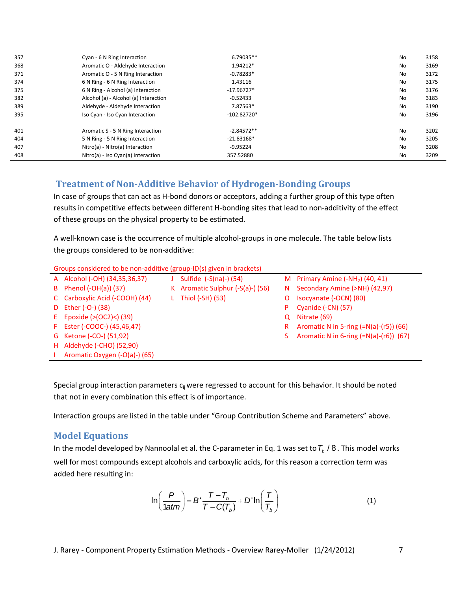| 357 | Cyan - 6 N Ring Interaction           | 6.79035**     | No        | 3158 |
|-----|---------------------------------------|---------------|-----------|------|
| 368 | Aromatic O - Aldehyde Interaction     | 1.94212*      | No        | 3169 |
| 371 | Aromatic O - 5 N Ring Interaction     | $-0.78283*$   | No        | 3172 |
| 374 | 6 N Ring - 6 N Ring Interaction       | 1.43116       | No        | 3175 |
| 375 | 6 N Ring - Alcohol (a) Interaction    | $-17.96727*$  | <b>No</b> | 3176 |
| 382 | Alcohol (a) - Alcohol (a) Interaction | $-0.52433$    | No        | 3183 |
| 389 | Aldehyde - Aldehyde Interaction       | 7.87563*      | No        | 3190 |
| 395 | Iso Cyan - Iso Cyan Interaction       | $-102.82720*$ | No        | 3196 |
| 401 | Aromatic S - 5 N Ring Interaction     | $-2.84572**$  | No        | 3202 |
| 404 | 5 N Ring - 5 N Ring Interaction       | $-21.83168*$  | No        | 3205 |
| 407 | Nitro(a) - Nitro(a) Interaction       | $-9.95224$    | <b>No</b> | 3208 |
| 408 | Nitro(a) - Iso Cyan(a) Interaction    | 357.52880     | <b>No</b> | 3209 |

## **Treatment of Non-Additive Behavior of Hydrogen-Bonding Groups**

In case of groups that can act as H-bond donors or acceptors, adding a further group of this type often results in competitive effects between different H-bonding sites that lead to non-additivity of the effect of these groups on the physical property to be estimated.

A well-known case is the occurrence of multiple alcohol-groups in one molecule. The table below lists the groups considered to be non-additive:

| Groups considered to be non-additive (group-ID(s) given in brackets) |  |  |
|----------------------------------------------------------------------|--|--|
|                                                                      |  |  |

| A Alcohol (-OH) (34,35,36,37)  | Sulfide $(-S(na)-)(54)$           |    | M Primary Amine $(-NH2)$ (40, 41)        |
|--------------------------------|-----------------------------------|----|------------------------------------------|
| B Phenol (-OH(a)) (37)         | K Aromatic Sulphur $(-S(a)-)(56)$ |    | N Secondary Amine (>NH) (42,97)          |
| C Carboxylic Acid (-COOH) (44) | L Thiol $(-SH)$ (53)              | O  | Isocyanate (-OCN) (80)                   |
| D Ether (-O-) (38)             |                                   | P. | Cyanide (-CN) (57)                       |
| E Epoxide $(>(OC2) < (39))$    |                                   | Q  | Nitrate (69)                             |
| F Ester (-COOC-) (45,46,47)    |                                   | R. | Aromatic N in 5-ring $(=N(a)-(r5))$ (66) |
| G Ketone (-CO-) (51,92)        |                                   |    | Aromatic N in 6-ring $(=N(a)-(r6))$ (67) |
| H Aldehyde (-CHO) (52,90)      |                                   |    |                                          |
| Aromatic Oxygen (-O(a)-) (65)  |                                   |    |                                          |

Special group interaction parameters  $c_{ij}$  were regressed to account for this behavior. It should be noted that not in every combination this effect is of importance.

Interaction groups are listed in the table under "Group Contribution Scheme and Parameters" above.

### **Model Equations**

In the model developed by Nannoolal et al. the C-parameter in Eq. 1 was set to  $T_b$  /  $8$  . This model works well for most compounds except alcohols and carboxylic acids, for this reason a correction term was added here resulting in:

$$
\ln\left(\frac{P}{1atm}\right) = B'\frac{T - T_b}{T - C(T_b)} + D'\ln\left(\frac{T}{T_b}\right)
$$
 (1)